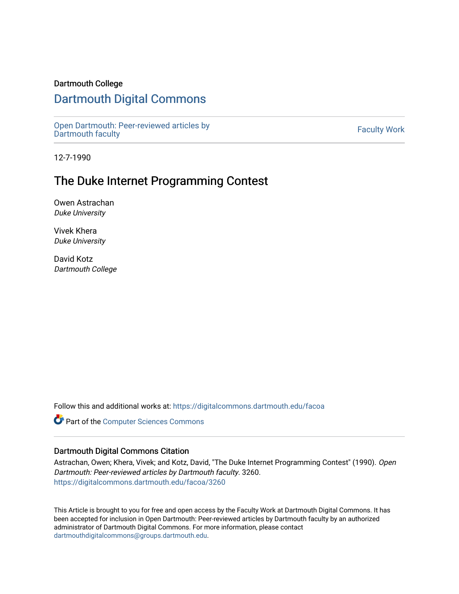### Dartmouth College

# [Dartmouth Digital Commons](https://digitalcommons.dartmouth.edu/)

[Open Dartmouth: Peer-reviewed articles by](https://digitalcommons.dartmouth.edu/facoa)  Open Dartmouth Feel-Teviewed articles by<br>[Dartmouth faculty](https://digitalcommons.dartmouth.edu/facoa)

12-7-1990

# The Duke Internet Programming Contest

Owen Astrachan Duke University

Vivek Khera Duke University

David Kotz Dartmouth College

Follow this and additional works at: [https://digitalcommons.dartmouth.edu/facoa](https://digitalcommons.dartmouth.edu/facoa?utm_source=digitalcommons.dartmouth.edu%2Ffacoa%2F3260&utm_medium=PDF&utm_campaign=PDFCoverPages)

Part of the [Computer Sciences Commons](http://network.bepress.com/hgg/discipline/142?utm_source=digitalcommons.dartmouth.edu%2Ffacoa%2F3260&utm_medium=PDF&utm_campaign=PDFCoverPages)

### Dartmouth Digital Commons Citation

Astrachan, Owen; Khera, Vivek; and Kotz, David, "The Duke Internet Programming Contest" (1990). Open Dartmouth: Peer-reviewed articles by Dartmouth faculty. 3260. [https://digitalcommons.dartmouth.edu/facoa/3260](https://digitalcommons.dartmouth.edu/facoa/3260?utm_source=digitalcommons.dartmouth.edu%2Ffacoa%2F3260&utm_medium=PDF&utm_campaign=PDFCoverPages) 

This Article is brought to you for free and open access by the Faculty Work at Dartmouth Digital Commons. It has been accepted for inclusion in Open Dartmouth: Peer-reviewed articles by Dartmouth faculty by an authorized administrator of Dartmouth Digital Commons. For more information, please contact [dartmouthdigitalcommons@groups.dartmouth.edu](mailto:dartmouthdigitalcommons@groups.dartmouth.edu).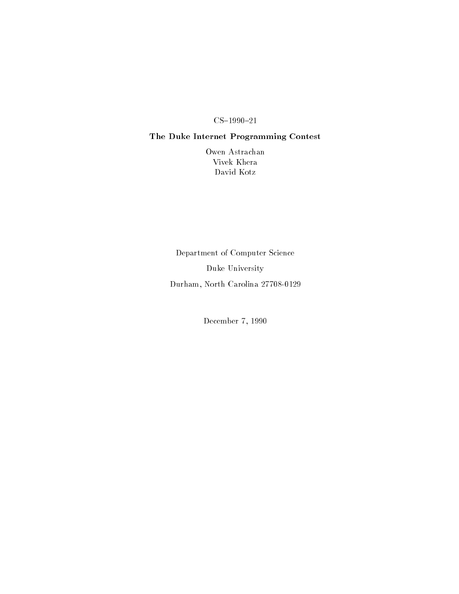### The Duke Internet Programming Contest

Owen Astrachan Vivek Khera David Kotz

Department of Computer Science Duke University Durham North Carolina 

December 7, 1990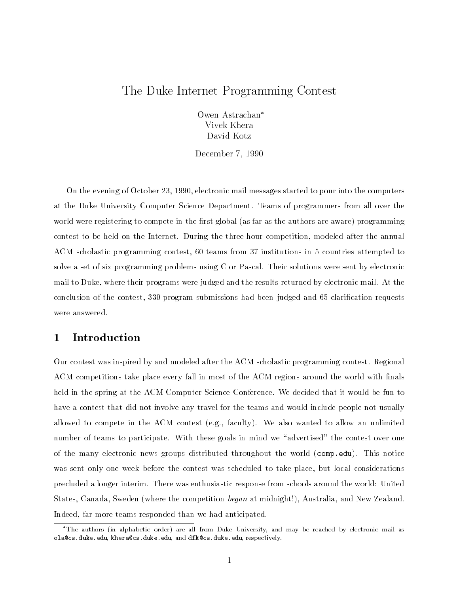# The Duke Internet Programming Contest

Owen Astrachan Vivek Khera David Kotz

december - December - December - December - December - December - December - December - December - December -

On the evening of October 23, 1990, electronic mail messages started to pour into the computers at the Duke University Computer Science Department Teams of programmers from all over the world were registering to compete in the first global (as far as the authors are aware) programming contest to be held on the Internet During the three hour competition modeled after the annual ACM scholastic programming contest, 60 teams from 37 institutions in 5 countries attempted to solve a set of six programming problems using C or Pascal Their solutions were sent by electronic mail to Duke, where their programs were judged and the results returned by electronic mail. At the conclusion of the contest, 330 program submissions had been judged and 65 clarification requests were answered

### Introduction  $\mathbf 1$

Our contest was inspired by and modeled after the ACM scholastic programming contest Regional ACM competitions take place every fall in most of the ACM regions around the world with finals held in the spring at the ACM Computer Science Conference. We decided that it would be fun to have a contest that did not involve any travel for the teams and would include people not usually allowed to compete in the ACM contest (e.g., faculty). We also wanted to allow an unlimited number of teams to participate. With these goals in mind we "advertised" the contest over one electronic the many electronic groups distributed throughout the world comp-clear product the world compwas sent only one week before the contest was scheduled to take place, but local considerations precluded a longer interim. There was enthusiastic response from schools around the world: United States, Canada, Sweden (where the competition began at midnight!), Australia, and New Zealand. Indeed, far more teams responded than we had anticipated.

<sup>.</sup> The authors (in alphabetic order) are all from Duke University, and may be reached by electronic mail as viases . uure . euu, riterases . uure . euu, allu uirses . uure . euu, lespectively.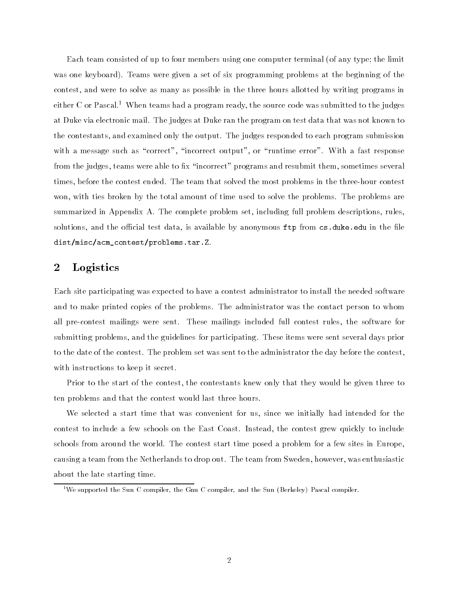Each team consisted of up to four members using one computer terminal (of any type; the limit was one keyboard). Teams were given a set of six programming problems at the beginning of the contest, and were to solve as many as possible in the three hours allotted by writing programs in either C or Pascal.<sup>1</sup> When teams had a program ready, the source code was submitted to the judges at Duke via electronic mail The judges at Duke ran the program on test data that was not known to the contestants and examined only the output The judges responded to each program submission with a message such as "correct", "incorrect output", or "runtime error". With a fast response from the judges, teams were able to fix "incorrect" programs and resubmit them, sometimes several times before the contest ended The team that solved the most problems in the three hour contest won, with ties broken by the total amount of time used to solve the problems. The problems are summarized in Appendix A. The complete problem set, including full problem descriptions, rules. solutions and the ocial test data is available by anonymous ftp from cs-duke-edu in the 
le distmiscacmcontestproblems-tar-<sup>Z</sup>

### $\overline{2}$ Logistics

Each site participating was expected to have a contest administrator to install the needed software and to make printed copies of the problems The administrator was the contact person to whom all presentest mailings were sented these mailings included functions function and software for software for submitting problems, and the guidelines for participating. These items were sent several days prior to the date of the contest The problem set was sent to the administrator the day before the contest with instructions to keep it secret

Prior to the start of the contest, the contestants knew only that they would be given three to ten problems and that the contest would last three hours

We selected a start time that was convenient for us since we initially had intended for the contest to include a few schools on the East Coast. Instead, the contest grew quickly to include schools from around the world. The contest start time posed a problem for a few sites in Europe, causing a team from the Netherlands to drop out. The team from Sweden, however, was enthusiastic about the late starting time

we supported the Sun C compiler, the Gnu C compiler, and the Sun (Berkeley) Pascal compiler. "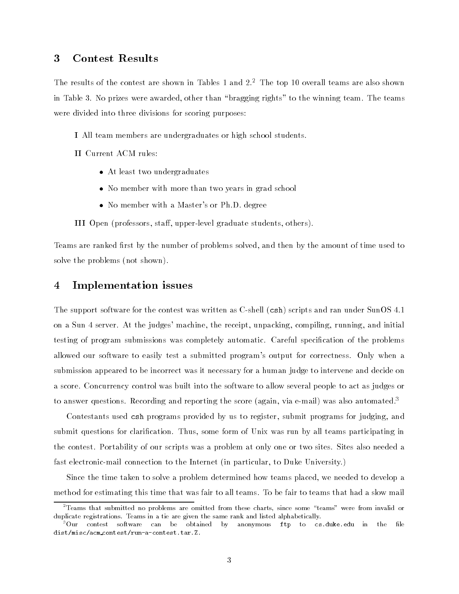#### **Contest Results** 3

The results of the contest are shown in Tables 1 and 2. The top 10 overall teams are also shown in Table 3. No prizes were awarded, other than "bragging rights" to the winning team. The teams were divided into three divisions for scoring purposes

 $\blacksquare$  . The team members are undergraduates or high school students.

- At least two undergraduates
- No member with more than two years in grad school
- No member with a Master's or Ph.D. degree

**III** Open professors of a stand upper follow that a students others for the studies of the studies of the studies

Teams are ranked first by the number of problems solved, and then by the amount of time used to solve the problems (not shown).

### Implementation issues

the support software for the contest was written as written (the contest was the contest was supported to the on a Sun 4 server. At the judges' machine, the receipt, unpacking, compiling, running, and initial testing of program submissions was completely automatic. Careful specification of the problems allowed our software to easily test a submitted program's output for correctness. Only when a submission appeared to be incorrect was it necessary for a human judge to intervene and decide on a score Concurrency control was built into the software to allow several people to act as judges or to answer questions. Recording and reporting the score (again, via e-mail) was also automated.

Contestants used csh programs provided by us to register, submit programs for judging, and submit questions for clarification. Thus, some form of Unix was run by all teams participating in the contest Portability of our scripts was a problem at only one or two sites Sites also needed a fast electronic mail connection to the Internet in particular to Duke University

Since the time taken to solve a problem determined how teams placed, we needed to develop a method for estimating this time that was fair to all teams To be fair to teams that had a slow mail

<sup>-</sup>Teams that submitted no problems are omitted from these charts since some teams were from invalid orduplicate registrations. Teams in a tie are given the same rank and listed alphabetically.

<sup>&</sup>quot;Our contest software can be obtained by anonymous ftp to cs.duke.edu in the nie  $dist/misc/acm\cdot context/run-a\cdot context.tar.Z.$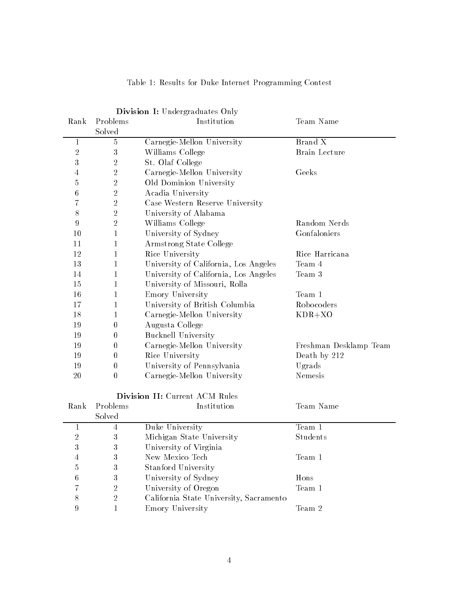|                  |                  | Division I: Undergraduates Only         |                        |  |
|------------------|------------------|-----------------------------------------|------------------------|--|
| Rank             | Problems         | Institution                             | Team Name              |  |
|                  | Solved           |                                         |                        |  |
| 1                | $\mathbf 5$      | Carnegie-Mellon University              | Brand X                |  |
| $\overline{2}$   | $\sqrt{3}$       | Williams College                        | <b>Brain Lecture</b>   |  |
| 3                | $\sqrt{2}$       | St. Olaf College                        |                        |  |
| 4                | $\sqrt{2}$       | Carnegie-Mellon University              | Geeks                  |  |
| 5                | $\sqrt{2}$       | Old Dominion University                 |                        |  |
| 6                | $\sqrt{2}$       | Acadia University                       |                        |  |
| 7                | $\sqrt{2}$       | Case Western Reserve University         |                        |  |
| 8                | $\sqrt{2}$       | University of Alabama                   |                        |  |
| $\boldsymbol{9}$ | $\sqrt{2}$       | Williams College                        | Random Nerds           |  |
| 10               | $\mathbf{1}$     | University of Sydney                    | Gonfaloniers           |  |
| 11               | $\mathbf 1$      | Armstrong State College                 |                        |  |
| 12               | $\mathbf 1$      | Rice University                         | Rice Harricana         |  |
| 13               | 1                | University of California, Los Angeles   | Team 4                 |  |
| 14               | 1                | University of California, Los Angeles   | Team 3                 |  |
| 15               | $\mathbf 1$      | University of Missouri, Rolla           |                        |  |
| 16               | $\mathbf 1$      | Emory University                        | Team 1                 |  |
| 17               | 1                | University of British Columbia          | Robocoders             |  |
| 18               | $\mathbf 1$      | Carnegie-Mellon University              | $KDR+XO$               |  |
| 19               | $\boldsymbol{0}$ | Augusta College                         |                        |  |
| 19               | $\boldsymbol{0}$ | <b>Bucknell University</b>              |                        |  |
| 19               | $\boldsymbol{0}$ | Carnegie-Mellon University              | Freshman Desklamp Team |  |
| 19               | $\boldsymbol{0}$ | Rice University                         | Death by 212           |  |
| 19               | $\boldsymbol{0}$ | University of Pennsylvania              | Ugrads                 |  |
| 20               | $\boldsymbol{0}$ | Carnegie-Mellon University              | Nemesis                |  |
|                  |                  | Division II: Current ACM Rules          |                        |  |
| Rank             | Problems         | Institution                             | Team Name              |  |
|                  | Solved           |                                         |                        |  |
| 1                | $\overline{4}$   | Duke University                         | Team 1                 |  |
| $\sqrt{2}$       | $\sqrt{3}$       | Michigan State University               | Students               |  |
| 3                | 3                | University of Virginia                  |                        |  |
| 4                | $\sqrt{3}$       | New Mexico Tech                         | Team 1                 |  |
| 5                | 3                | Stanford University                     |                        |  |
| 6                | $\sqrt{3}$       | University of Sydney                    | Hons                   |  |
| 7                | $\overline{2}$   | University of Oregon                    | Team 1                 |  |
| 8                | $\overline{2}$   | California State University, Sacramento |                        |  |
| 9                | 1                | Emory University                        | Team $\sqrt{2}$        |  |

## Table Results for Duke Internet Programming Contest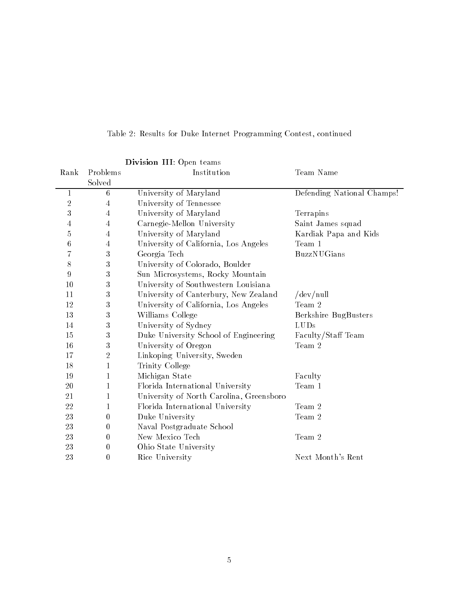| Division III: Open teams |                  |                                          |                            |  |  |  |
|--------------------------|------------------|------------------------------------------|----------------------------|--|--|--|
| Rank                     | Problems         | Institution                              | Team Name                  |  |  |  |
|                          | Solved           |                                          |                            |  |  |  |
| $\mathbf 1$              | 6                | University of Maryland                   | Defending National Champs! |  |  |  |
| $\overline{2}$           | 4                | University of Tennessee                  |                            |  |  |  |
| $\sqrt{3}$               | $\overline{4}$   | University of Maryland                   | Terrapins                  |  |  |  |
| 4                        | 4                | Carnegie-Mellon University               | Saint James squad          |  |  |  |
| 5                        | 4                | University of Maryland                   | Kardiak Papa and Kids      |  |  |  |
| 6                        | $\overline{4}$   | University of California, Los Angeles    | Team 1                     |  |  |  |
| $\overline{7}$           | $\sqrt{3}$       | Georgia Tech                             | <b>BuzzNU</b> Gians        |  |  |  |
| 8                        | $\sqrt{3}$       | University of Colorado, Boulder          |                            |  |  |  |
| 9                        | $\sqrt{3}$       | Sun Microsystems, Rocky Mountain         |                            |  |  |  |
| 10                       | $\sqrt{3}$       | University of Southwestern Louisiana     |                            |  |  |  |
| 11                       | 3                | University of Canterbury, New Zealand    | $/\text{dev}/\text{null}$  |  |  |  |
| 12                       | $\sqrt{3}$       | University of California, Los Angeles    | Team 2                     |  |  |  |
| 13                       | $\sqrt{3}$       | Williams College                         | Berkshire BugBusters       |  |  |  |
| 14                       | $\sqrt{3}$       | University of Sydney                     | LUDs                       |  |  |  |
| 15                       | $\sqrt{3}$       | Duke University School of Engineering    | Faculty/Staff Team         |  |  |  |
| 16                       | $\sqrt{3}$       | University of Oregon                     | Team 2                     |  |  |  |
| 17                       | $\overline{2}$   | Linkoping University, Sweden             |                            |  |  |  |
| 18                       | 1                | Trinity College                          |                            |  |  |  |
| 19                       | 1                | Michigan State                           | Faculty                    |  |  |  |
| 20                       | 1                | Florida International University         | Team 1                     |  |  |  |
| 21                       | $\mathbf{1}$     | University of North Carolina, Greensboro |                            |  |  |  |
| 22                       | $\mathbf{1}$     | Florida International University         | Team 2                     |  |  |  |
| 23                       | $\boldsymbol{0}$ | Duke University                          | Team 2                     |  |  |  |
| 23                       | $\boldsymbol{0}$ | Naval Postgraduate School                |                            |  |  |  |
| 23                       | $\boldsymbol{0}$ | New Mexico Tech                          | Team 2                     |  |  |  |
| 23                       | $\boldsymbol{0}$ | Ohio State University                    |                            |  |  |  |
| 23                       | $\theta$         | Rice University                          | Next Month's Rent          |  |  |  |
|                          |                  |                                          |                            |  |  |  |

Table 2: Results for Duke Internet Programming Contest, continued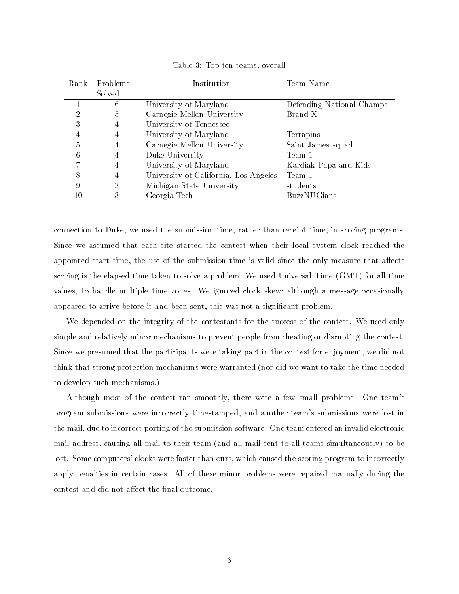| Problems<br>Rank |        | Institution                           | Team Name                  |  |
|------------------|--------|---------------------------------------|----------------------------|--|
|                  | Solved |                                       |                            |  |
|                  | 6      | University of Maryland                | Defending National Champs! |  |
| $\overline{2}$   | 5      | Carnegie Mellon University            | Brand X                    |  |
| 3                | 4      | University of Tennessee               |                            |  |
| 4                | 4      | University of Maryland                | Terrapins                  |  |
| 5                | 4      | Carnegie Mellon University            | Saint James squad          |  |
| 6                | 4      | Duke University                       | Team 1                     |  |
|                  | 4      | University of Maryland                | Kardiak Papa and Kids      |  |
| 8                | 4      | University of California, Los Angeles | Team 1                     |  |
| 9                | 3      | Michigan State University             | students                   |  |
| 10               | 3      | Georgia Tech                          | <b>BuzzNU</b> Gians        |  |

Table 3: Top ten teams, overall

connection to Duke, we used the submission time, rather than receipt time, in scoring programs Since we assumed that each site started the contest when their local system clock reached the appointed start time, the use of the submission time is valid since the only measure that affects scoring is the elapsed time taken to solve a problem. We used Universal Time (GMT) for all time values, to handle multiple time zones. We ignored clock skew; although a message occasionally appeared to arrive before it had been sent, this was not a significant problem.

We depended on the integrity of the contestants for the success of the contest. We used only simple and relatively minor mechanisms to prevent people from cheating or disrupting the contest Since we presumed that the participants were taking part in the contest for enjoyment, we did not think that strong protection mechanisms were warranted (nor did we want to take the time needed to develop such mechanisms

Although most of the contest ran smoothly, there were a few small problems. One team's program submissions were incorrectly timestamped, and another team's submissions were lost in the mail due to incorrect porting of the submission software One team entered an invalid electronic mail address, causing all mail to their team (and all mail sent to all teams simultaneously) to be lost. Some computers' clocks were faster than ours, which caused the scoring program to incorrectly apply penalties in certain cases All of these minor problems were repaired manually during the contest and did not affect the final outcome.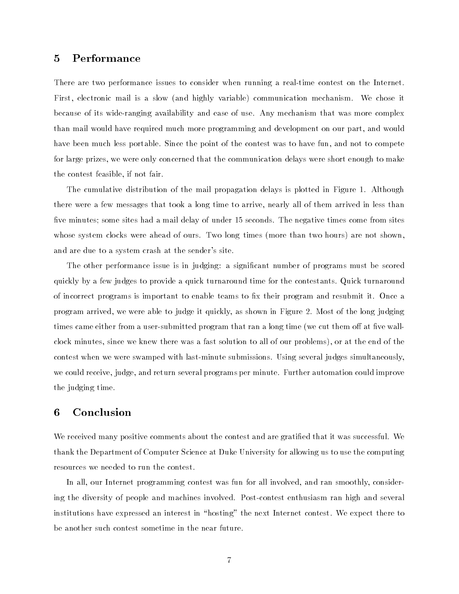### $\overline{5}$ Performance

There are two performance issues to consider when running a real time contest on the Internet First, electronic mail is a slow (and highly variable) communication mechanism. We chose it because of its wide ranging availability and ease of use Any mechanism that was more complex than mail would have required much more programming and development on our part, and would have been much less portable. Since the point of the contest was to have fun, and not to compete for large prizes we were only concerned that the communication delays were short enough to make the contest feasible, if not fair.

The cumulative distribution of the mail propagation delays is plotted in Figure 1. Although there were a few messages that took a long time to arrive, nearly all of them arrived in less than five minutes; some sites had a mail delay of under 15 seconds. The negative times come from sites whose system clocks were ahead of ours. Two long times (more than two hours) are not shown. and are due to a system crash at the sender's site.

The other performance issue is in judging: a significant number of programs must be scored quickly by a few judges to provide a quick turnaround time for the contestants Quick turnaround of incorrect programs is important to enable teams to fix their program and resubmit it. Once a program arrived, we were able to judge it quickly, as shown in Figure 2. Most of the long judging  $\mathbf{v} = \mathbf{v}$ clock minutes, since we knew there was a fast solution to all of our problems), or at the end of the contest when we were swamped with last minute submissions Using several judges simultaneously we could receive, judge, and return several programs per minute. Further automation could improve the judging time

We received many positive comments about the contest and are gratified that it was successful. We thank the Department of Computer Science at Duke University for allowing us to use the computing resources we needed to run the contest

In all, our Internet programming contest was fun for all involved, and ran smoothly, considering the diversity of people and machines involved Post contest enthusiasm ran high and several institutions have expressed an interest in "hosting" the next Internet contest. We expect there to be another such contest sometime in the near future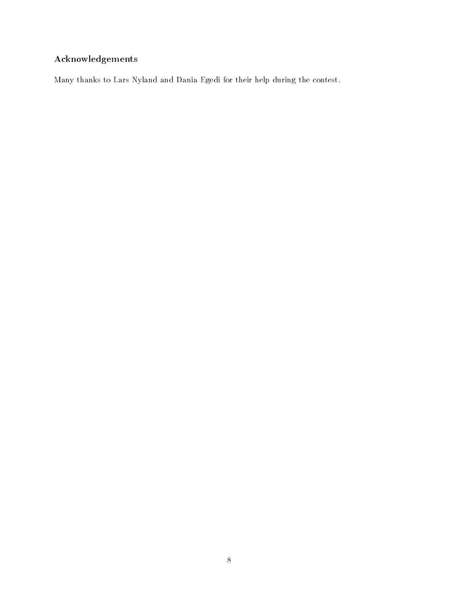## Acknowledgements

Many thanks to Lars Nyland and Dania Egedi for their help during the contest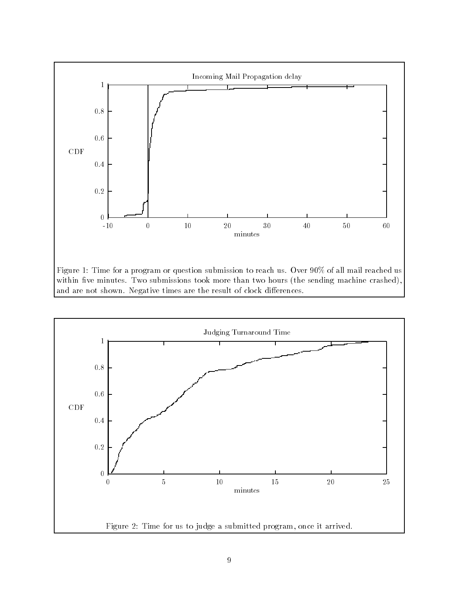

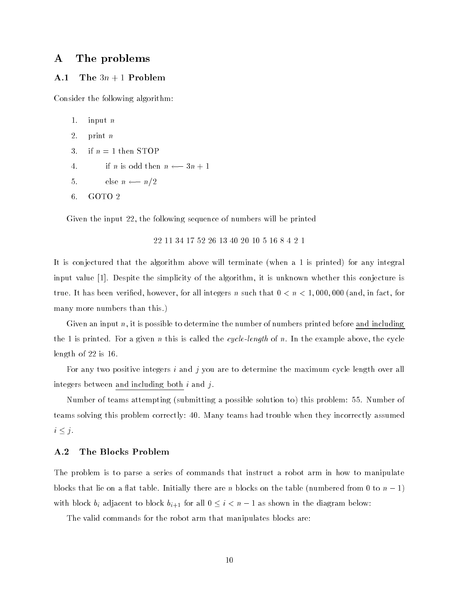#### $\mathbf{A}$ The problems

#### A.1 The  $3n + 1$  Problem

Consider the following algorithm

```
1. input n2. print n3. if n = 1 then STOP
\mathcal{L} is odd then the intervals of \mathcal{L} , and \mathcal{L}else nordiste ne en en de la poste de la poste de la poste de la poste de la poste de la poste de la poste de<br>Distribution de la poste de la poste de la poste de la poste de la poste de la poste de la poste de la poste d
6. GOTO 2
```
Given the input 22, the following sequence of numbers will be printed

22 11 34 17 52 26 13 40 20 10 5 16 8 4 2 1

It is conjectured that the algorithm above will terminate (when a 1 is printed) for any integral input value  $[1]$ . Despite the simplicity of the algorithm, it is unknown whether this conjecture is true. It has been verified, however, for all integers n such that  $0 < n < 1,000,000$  (and, in fact, for many more numbers than this.)

Given an input  $n$ , it is possible to determine the number of numbers printed before and including the finite printed for a given it this is called the cycle-thing of new motor channels are cycle-the cyclelength of  $22$  is  $16$ .

For any two positive integers i and j you are to determine the maximum cycle length over all integers between and including both  $i$  and  $j$ .

Number of teams attempting (submitting a possible solution to) this problem: 55. Number of teams solving this problem correctly: 40. Many teams had trouble when they incorrectly assumed  $i \leq j$ .

#### $\mathbf{A.2}$ The Blocks Problem

The problem is to parse a series of commands that instruct a robot arm in how to manipulate blocks that lie on a flat table. Initially there are n blocks on the table (numbered from 0 to  $n-1$ ) with block  $b_i$  adjacent to block  $b_{i+1}$  for all  $0 \leq i < n-1$  as shown in the diagram below:

The valid commands for the robot arm that manipulates blocks are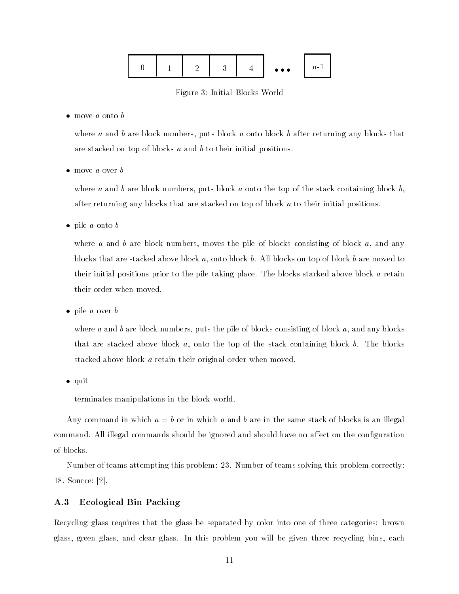|  | - |  |  | $\bullet\bullet\bullet$ | n- |  |
|--|---|--|--|-------------------------|----|--|
|--|---|--|--|-------------------------|----|--|

Figure 3: Initial Blocks World

 $\bullet$  move a onto b

where a and b are block numbers, puts block a onto block b after returning any blocks that are stacked on top of blocks  $a$  and  $b$  to their initial positions.

 $\bullet$  move a over b

where a and b are block numbers, puts block a onto the top of the stack containing block b, after returning any blocks that are stacked on top of block  $a$  to their initial positions.

 $\bullet$  pile *a* onto *b* 

where a and b are block numbers, moves the pile of blocks consisting of block  $a$ , and any blocks that are stacked above block  $a$ , onto block  $b$ . All blocks on top of block  $b$  are moved to their initial positions prior to the pile taking place. The blocks stacked above block  $a$  retain their order when moved

 $\bullet$  pile *a* over *b* 

where a and b are block numbers, puts the pile of blocks consisting of block a, and any blocks that are stacked above block  $a$ , onto the top of the stack containing block  $b$ . The blocks stacked above block a retain their original order when moved.

 $\bullet$  quit

terminates manipulations in the block world

Any command in which  $a = b$  or in which a and b are in the same stack of blocks is an illegal command. All illegal commands should be ignored and should have no affect on the configuration of blocks

Number of teams attempting this problem: 23. Number of teams solving this problem correctly: 18. Source:  $|2|$ .

#### $\mathbf{A}.3$ Ecological Bin Packing

Recycling glass requires that the glass be separated by color into one of three categories: brown glass, green glass, and clear glass. In this problem you will be given three recycling bins, each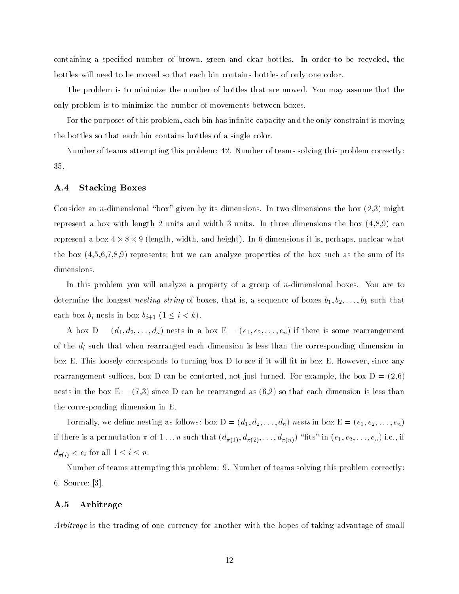containing a specified number of brown, green and clear bottles. In order to be recycled, the bottles will need to be moved so that each bin contains bottles of only one color

The problem is to minimize the number of bottles that are moved You may assume that the only problem is to minimize the number of movements between boxes

For the purposes of this problem, each bin has infinite capacity and the only constraint is moving the bottles so that each bin contains bottles of a single color

Number of teams attempting this problem: 42. Number of teams solving this problem correctly: 35.

#### $A.4$ Stacking Boxes

Consider an <sup>n</sup>dimensional box given by its dimensions In two dimensions the box might represent a box with length 2 units and width 3 units. In three dimensions the box  $(4,8,9)$  can represent a box  $4 \times 8 \times 9$  (length, width, and height). In 6 dimensions it is, perhaps, unclear what the box  $(4,5,6,7,8,9)$  represents; but we can analyze properties of the box such as the sum of its dimensions.

In this problem you will analyze a property of a group of <sup>n</sup>dimensional boxes You are to  $\alpha$  is a sequence that is a sequence of  $\alpha$  such that  $\alpha$  is a sequence of  $\alpha$  such  $\alpha$  by  $\alpha$  such that each box  $b_i$  nests in box  $b_{i+1}$   $(1 \leq i \leq k)$ .

 $\alpha$  . Therefore,  $\alpha_1, \alpha_2, \ldots, \alpha_n$  is not be rearranged in a box  $\alpha$  erg if  $\alpha_1, \alpha_2, \ldots, \alpha_n$  is the rearrangement of the  $d_i$  such that when rearranged each dimension is less than the corresponding dimension in box E. This loosely corresponds to turning box  $D$  to see if it will fit in box E. However, since any rearrangement suffices, box D can be contorted, not just turned. For example, the box  $D = (2,6)$ nests in the box  $E = (7,3)$  since D can be rearranged as  $(6,2)$  so that each dimension is less than the corresponding dimension in E

 $\mathcal{L}$  because  $\mathcal{L}$  as follows box  $\mathcal{L} = \{w_1, w_2, \ldots, w_n\}$ , we write  $\mathcal{L} = \{v_1, v_2, \ldots, v_n\}$  $\alpha_{\pi(1)}, \alpha_{\pi(2)}, \ldots, \alpha_{\pi(n)}$  and  $\alpha_{\pi(1)}, \alpha_{\pi(2)}, \ldots, \alpha_{\pi(n)}$  is in  $\alpha_{1}, \alpha_{2}, \ldots, \alpha_{n}$  in  $\alpha$  $\alpha_{\pi(i)}$   $\sim$   $\alpha_i$  for all  $\alpha_i$   $\alpha_i$   $\alpha_i$ 

Number of teams attempting this problem: 9. Number of teams solving this problem correctly:  $6.$  Source: [3].

#### $A.5$ Arbitrage

Arbitrage is the trading of one currency for another with the hopes of taking advantage of small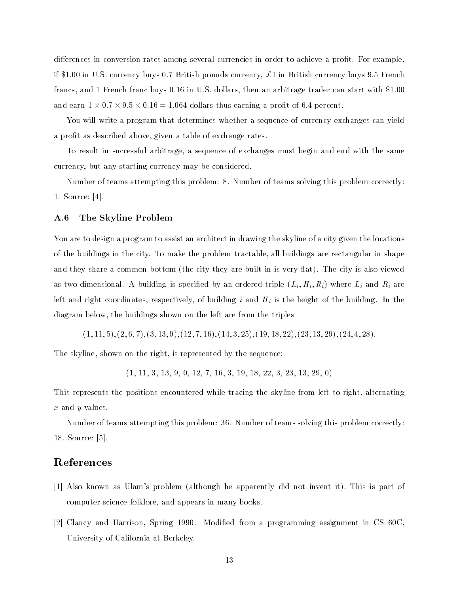differences in conversion rates among several currencies in order to achieve a profit. For example, if \$1.00 in U.S. currency buys 0.7 British pounds currency,  $\pounds$  1 in British currency buys 9.5 French francs, and 1 French franc buys  $0.16$  in U.S. dollars, then an arbitrage trader can start with  $$1.00$ and earn  $1 \times 0.7 \times 9.5 \times 0.16 = 1.064$  dollars thus earning a profit of 6.4 percent.

You will write a program that determines whether a sequence of currency exchanges can yield a profit as described above, given a table of exchange rates.

To result in successful arbitrage, a sequence of exchanges must begin and end with the same currency but any starting currency may be considered

Number of teams attempting this problem: 8. Number of teams solving this problem correctly: 1. Source:  $[4]$ .

#### $\mathbf{A.6}$ The Skyline Problem

You are to design a program to assist an architect in drawing the skyline of a city given the locations of the buildings in the city To make the problem tractable all buildings are rectangular in shape and they share a common bottom (the city they are built in is very flat). The city is also viewed as two dimensional in statung is specified space ordered triple  $\{H_i\}_{i=1}$  where  $H_i$  and  $R_i$  are left and right coordinates, respectively, of building  $i$  and  $H_i$  is the height of the building. In the diagram below, the buildings shown on the left are from the triples

 $(1, 11, 5), (2, 6, 7), (3, 13, 9), (12, 7, 16), (14, 3, 25), (19, 18, 22), (23, 13, 29), (24, 4, 28).$ 

The skyline, shown on the right, is represented by the sequence:

 $(1, 11, 3, 13, 9, 0, 12, 7, 16, 3, 19, 18, 22, 3, 23, 13, 29, 0)$ 

This represents the positions encountered while tracing the skyline from left to right, alternating  $x$  and  $y$  values.

Number of teams attempting this problem: 36. Number of teams solving this problem correctly: 18. Source: [5].

### References

- [1] Also known as Ulam's problem (although he apparently did not invent it). This is part of computer science folklore, and appears in many books.
- [2] Clancy and Harrison, Spring 1990. Modified from a programming assignment in CS 60C, University of California at Berkeley